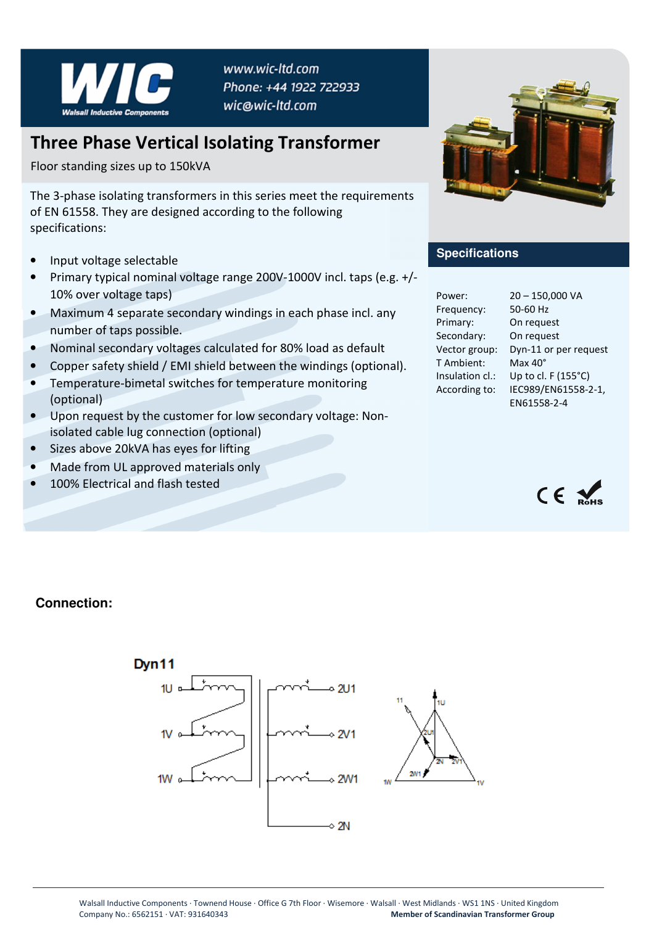

www.wic-ltd.com Phone: +44 1922 722933 wic@wic-ltd.com

## **Three Phase Vertical Isolating Transformer**

Floor standing sizes up to 150kVA

The 3-phase isolating transformers in this series meet the requirements of EN 61558. They are designed according to the following specifications:

- Input voltage selectable
- Primary typical nominal voltage range 200V-1000V incl. taps (e.g. +/- 10% over voltage taps)
- Maximum 4 separate secondary windings in each phase incl. any number of taps possible.
- Nominal secondary voltages calculated for 80% load as default
- Copper safety shield / EMI shield between the windings (optional).
- Temperature-bimetal switches for temperature monitoring (optional)
- Upon request by the customer for low secondary voltage: Nonisolated cable lug connection (optional)
- Sizes above 20kVA has eyes for lifting
- Made from UL approved materials only
- 100% Electrical and flash tested



## **Specifications**

| Power:          | $20 - 150,000$ VA                  |
|-----------------|------------------------------------|
| Frequency:      | 50-60 Hz                           |
| Primary:        | On request                         |
| Secondary:      | On request                         |
| Vector group:   | Dyn-11 or per request              |
| T Ambient:      | Max $40^\circ$                     |
| Insulation cl.: | Up to cl. F (155°C)                |
| According to:   | IEC989/EN61558-2-1,<br>EN61558-2-4 |



## **Connection:**